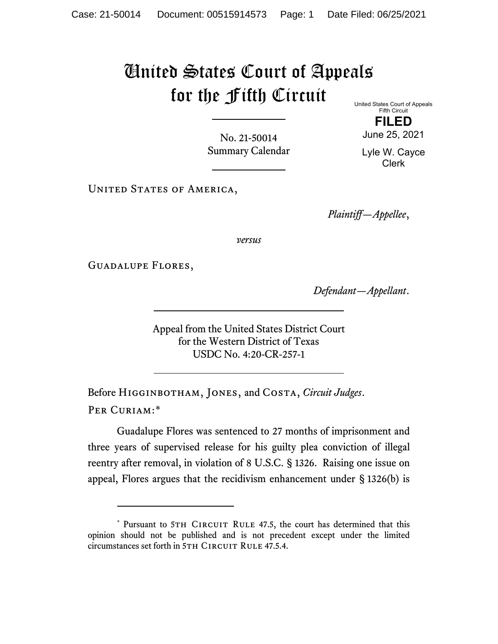## United States Court of Appeals for the Fifth Circuit United States Court of Appeals

No. 21-50014 Summary Calendar

Fifth Circuit **FILED**

June 25, 2021 Lyle W. Cayce Clerk

UNITED STATES OF AMERICA,

*Plaintiff—Appellee*,

*versus*

Guadalupe Flores,

*Defendant—Appellant*.

Appeal from the United States District Court for the Western District of Texas USDC No. 4:20-CR-257-1

Before Higginbotham, Jones, and Costa, *Circuit Judges*. Per Curiam:[\\*](#page-0-0)

Guadalupe Flores was sentenced to 27 months of imprisonment and three years of supervised release for his guilty plea conviction of illegal reentry after removal, in violation of 8 U.S.C. § 1326. Raising one issue on appeal, Flores argues that the recidivism enhancement under § 1326(b) is

<span id="page-0-0"></span><sup>\*</sup> Pursuant to 5TH CIRCUIT RULE 47.5, the court has determined that this opinion should not be published and is not precedent except under the limited circumstances set forth in 5TH CIRCUIT RULE 47.5.4.